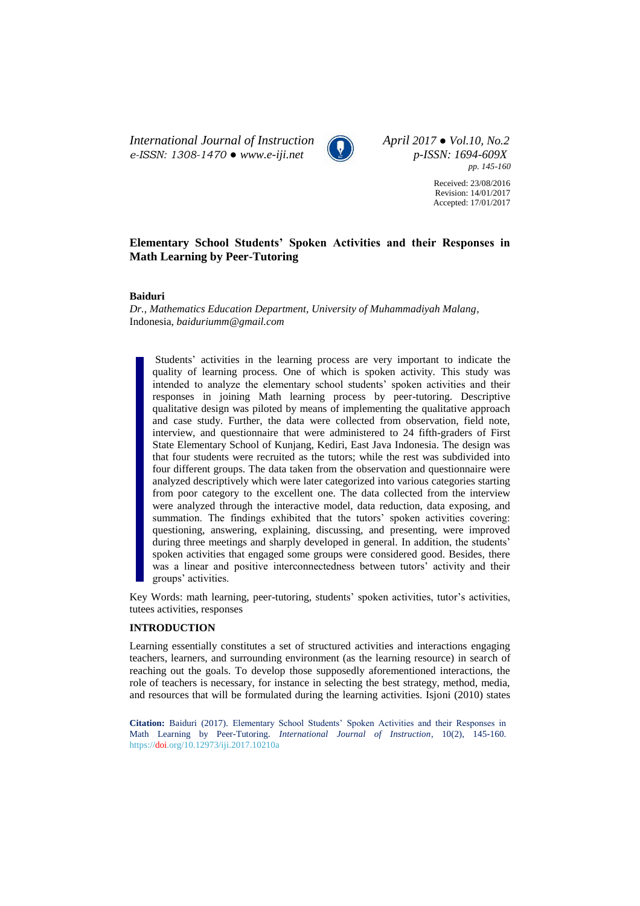*International Journal of Instruction April 2017 ● Vol.10, No.2 e-ISSN: 1308-1470 ● www.e-iji.net p-ISSN: 1694-609X*



*pp. 145-160*

Received: 23/08/2016 Revision: 14/01/2017 Accepted: 17/01/2017

# **Elementary School Students' Spoken Activities and their Responses in Math Learning by Peer-Tutoring**

#### **Baiduri**

*Dr., Mathematics Education Department, University of Muhammadiyah Malang,*  Indonesia, *baiduriumm@gmail.com*

Students' activities in the learning process are very important to indicate the quality of learning process. One of which is spoken activity. This study was intended to analyze the elementary school students' spoken activities and their responses in joining Math learning process by peer-tutoring. Descriptive qualitative design was piloted by means of implementing the qualitative approach and case study. Further, the data were collected from observation, field note, interview, and questionnaire that were administered to 24 fifth-graders of First State Elementary School of Kunjang, Kediri, East Java Indonesia. The design was that four students were recruited as the tutors; while the rest was subdivided into four different groups. The data taken from the observation and questionnaire were analyzed descriptively which were later categorized into various categories starting from poor category to the excellent one. The data collected from the interview were analyzed through the interactive model, data reduction, data exposing, and summation. The findings exhibited that the tutors' spoken activities covering: questioning, answering, explaining, discussing, and presenting, were improved during three meetings and sharply developed in general. In addition, the students' spoken activities that engaged some groups were considered good. Besides, there was a linear and positive interconnectedness between tutors' activity and their groups' activities.

Key Words: math learning, peer-tutoring, students' spoken activities, tutor's activities, tutees activities, responses

## **INTRODUCTION**

Learning essentially constitutes a set of structured activities and interactions engaging teachers, learners, and surrounding environment (as the learning resource) in search of reaching out the goals. To develop those supposedly aforementioned interactions, the role of teachers is necessary, for instance in selecting the best strategy, method, media, and resources that will be formulated during the learning activities. Isjoni (2010) states

**Citation:** Baiduri (2017). Elementary School Students' Spoken Activities and their Responses in Math Learning by Peer-Tutoring. *International Journal of Instruction*, 10(2), 145-160. https://doi.org/10.12973/iji.2017.10210a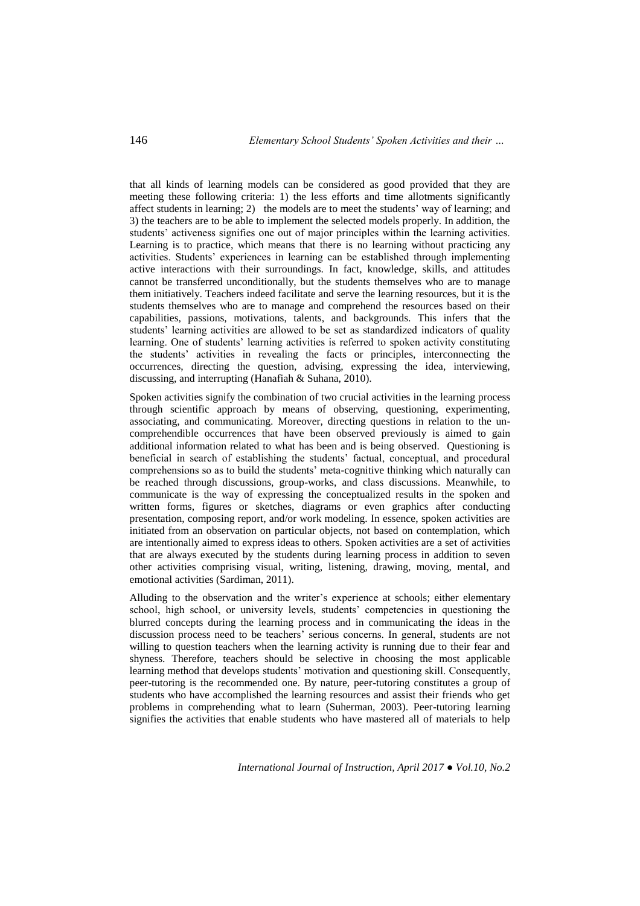that all kinds of learning models can be considered as good provided that they are meeting these following criteria: 1) the less efforts and time allotments significantly affect students in learning; 2) the models are to meet the students' way of learning; and 3) the teachers are to be able to implement the selected models properly. In addition, the students' activeness signifies one out of major principles within the learning activities. Learning is to practice, which means that there is no learning without practicing any activities. Students' experiences in learning can be established through implementing active interactions with their surroundings. In fact, knowledge, skills, and attitudes cannot be transferred unconditionally, but the students themselves who are to manage them initiatively. Teachers indeed facilitate and serve the learning resources, but it is the students themselves who are to manage and comprehend the resources based on their capabilities, passions, motivations, talents, and backgrounds. This infers that the students' learning activities are allowed to be set as standardized indicators of quality learning. One of students' learning activities is referred to spoken activity constituting the students' activities in revealing the facts or principles, interconnecting the occurrences, directing the question, advising, expressing the idea, interviewing, discussing, and interrupting (Hanafiah & Suhana, 2010).

Spoken activities signify the combination of two crucial activities in the learning process through scientific approach by means of observing, questioning, experimenting, associating, and communicating. Moreover, directing questions in relation to the uncomprehendible occurrences that have been observed previously is aimed to gain additional information related to what has been and is being observed. Questioning is beneficial in search of establishing the students' factual, conceptual, and procedural comprehensions so as to build the students' meta-cognitive thinking which naturally can be reached through discussions, group-works, and class discussions. Meanwhile, to communicate is the way of expressing the conceptualized results in the spoken and written forms, figures or sketches, diagrams or even graphics after conducting presentation, composing report, and/or work modeling. In essence, spoken activities are initiated from an observation on particular objects, not based on contemplation, which are intentionally aimed to express ideas to others. Spoken activities are a set of activities that are always executed by the students during learning process in addition to seven other activities comprising visual, writing, listening, drawing, moving, mental, and emotional activities (Sardiman, 2011).

Alluding to the observation and the writer's experience at schools; either elementary school, high school, or university levels, students' competencies in questioning the blurred concepts during the learning process and in communicating the ideas in the discussion process need to be teachers' serious concerns. In general, students are not willing to question teachers when the learning activity is running due to their fear and shyness. Therefore, teachers should be selective in choosing the most applicable learning method that develops students' motivation and questioning skill. Consequently, peer-tutoring is the recommended one. By nature, peer-tutoring constitutes a group of students who have accomplished the learning resources and assist their friends who get problems in comprehending what to learn (Suherman, 2003). Peer-tutoring learning signifies the activities that enable students who have mastered all of materials to help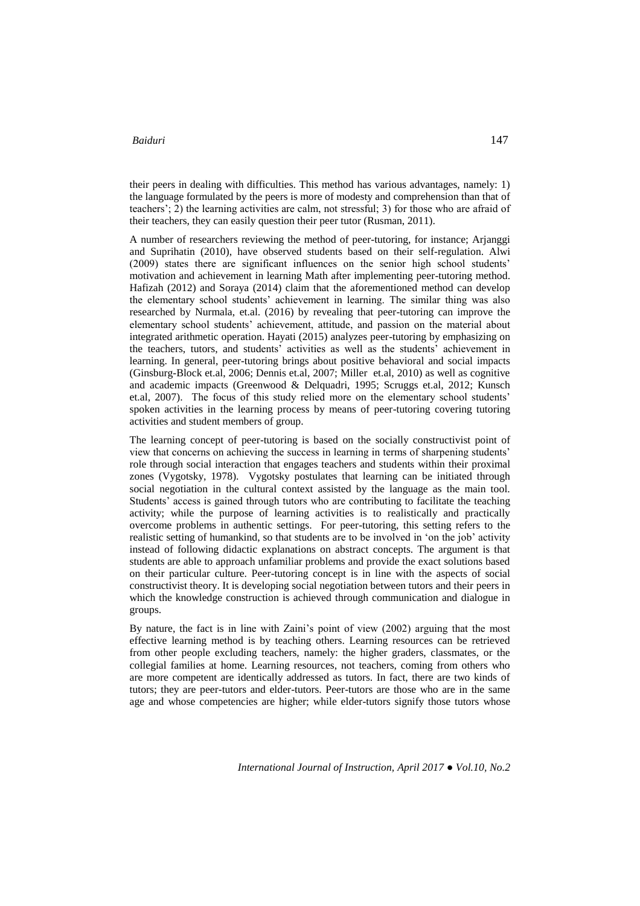their peers in dealing with difficulties. This method has various advantages, namely: 1) the language formulated by the peers is more of modesty and comprehension than that of teachers'; 2) the learning activities are calm, not stressful; 3) for those who are afraid of their teachers, they can easily question their peer tutor (Rusman, 2011).

A number of researchers reviewing the method of peer-tutoring, for instance; Arjanggi and Suprihatin (2010), have observed students based on their self-regulation. Alwi (2009) states there are significant influences on the senior high school students' motivation and achievement in learning Math after implementing peer-tutoring method. Hafizah (2012) and Soraya (2014) claim that the aforementioned method can develop the elementary school students' achievement in learning. The similar thing was also researched by Nurmala, et.al. (2016) by revealing that peer-tutoring can improve the elementary school students' achievement, attitude, and passion on the material about integrated arithmetic operation. Hayati (2015) analyzes peer-tutoring by emphasizing on the teachers, tutors, and students' activities as well as the students' achievement in learning. In general, peer-tutoring brings about positive behavioral and social impacts (Ginsburg-Block et.al, 2006; Dennis et.al, 2007; Miller et.al, 2010) as well as cognitive and academic impacts (Greenwood & Delquadri, 1995; Scruggs et.al, 2012; Kunsch et.al, 2007). The focus of this study relied more on the elementary school students' spoken activities in the learning process by means of peer-tutoring covering tutoring activities and student members of group.

The learning concept of peer-tutoring is based on the socially constructivist point of view that concerns on achieving the success in learning in terms of sharpening students' role through social interaction that engages teachers and students within their proximal zones (Vygotsky, 1978). Vygotsky postulates that learning can be initiated through social negotiation in the cultural context assisted by the language as the main tool. Students' access is gained through tutors who are contributing to facilitate the teaching activity; while the purpose of learning activities is to realistically and practically overcome problems in authentic settings. For peer-tutoring, this setting refers to the realistic setting of humankind, so that students are to be involved in 'on the job' activity instead of following didactic explanations on abstract concepts. The argument is that students are able to approach unfamiliar problems and provide the exact solutions based on their particular culture. Peer-tutoring concept is in line with the aspects of social constructivist theory. It is developing social negotiation between tutors and their peers in which the knowledge construction is achieved through communication and dialogue in groups.

By nature, the fact is in line with Zaini's point of view (2002) arguing that the most effective learning method is by teaching others. Learning resources can be retrieved from other people excluding teachers, namely: the higher graders, classmates, or the collegial families at home. Learning resources, not teachers, coming from others who are more competent are identically addressed as tutors. In fact, there are two kinds of tutors; they are peer-tutors and elder-tutors. Peer-tutors are those who are in the same age and whose competencies are higher; while elder-tutors signify those tutors whose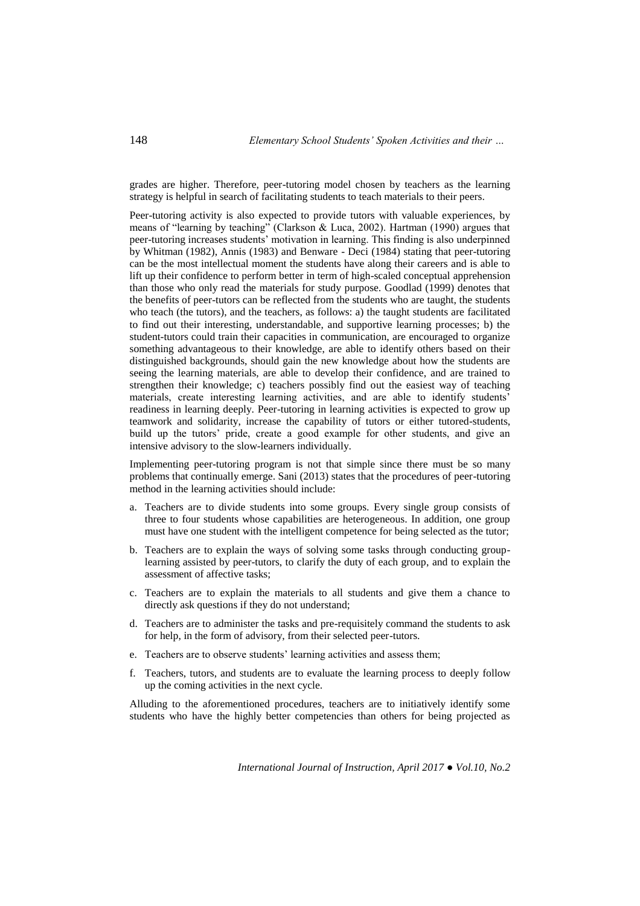grades are higher. Therefore, peer-tutoring model chosen by teachers as the learning strategy is helpful in search of facilitating students to teach materials to their peers.

Peer-tutoring activity is also expected to provide tutors with valuable experiences, by means of "learning by teaching" (Clarkson & Luca, 2002). Hartman (1990) argues that peer-tutoring increases students' motivation in learning. This finding is also underpinned by Whitman (1982), Annis (1983) and Benware - Deci (1984) stating that peer-tutoring can be the most intellectual moment the students have along their careers and is able to lift up their confidence to perform better in term of high-scaled conceptual apprehension than those who only read the materials for study purpose. Goodlad (1999) denotes that the benefits of peer-tutors can be reflected from the students who are taught, the students who teach (the tutors), and the teachers, as follows: a) the taught students are facilitated to find out their interesting, understandable, and supportive learning processes; b) the student-tutors could train their capacities in communication, are encouraged to organize something advantageous to their knowledge, are able to identify others based on their distinguished backgrounds, should gain the new knowledge about how the students are seeing the learning materials, are able to develop their confidence, and are trained to strengthen their knowledge; c) teachers possibly find out the easiest way of teaching materials, create interesting learning activities, and are able to identify students' readiness in learning deeply. Peer-tutoring in learning activities is expected to grow up teamwork and solidarity, increase the capability of tutors or either tutored-students, build up the tutors' pride, create a good example for other students, and give an intensive advisory to the slow-learners individually.

Implementing peer-tutoring program is not that simple since there must be so many problems that continually emerge. Sani (2013) states that the procedures of peer-tutoring method in the learning activities should include:

- a. Teachers are to divide students into some groups. Every single group consists of three to four students whose capabilities are heterogeneous. In addition, one group must have one student with the intelligent competence for being selected as the tutor;
- b. Teachers are to explain the ways of solving some tasks through conducting grouplearning assisted by peer-tutors, to clarify the duty of each group, and to explain the assessment of affective tasks;
- c. Teachers are to explain the materials to all students and give them a chance to directly ask questions if they do not understand;
- d. Teachers are to administer the tasks and pre-requisitely command the students to ask for help, in the form of advisory, from their selected peer-tutors.
- e. Teachers are to observe students' learning activities and assess them;
- f. Teachers, tutors, and students are to evaluate the learning process to deeply follow up the coming activities in the next cycle.

Alluding to the aforementioned procedures, teachers are to initiatively identify some students who have the highly better competencies than others for being projected as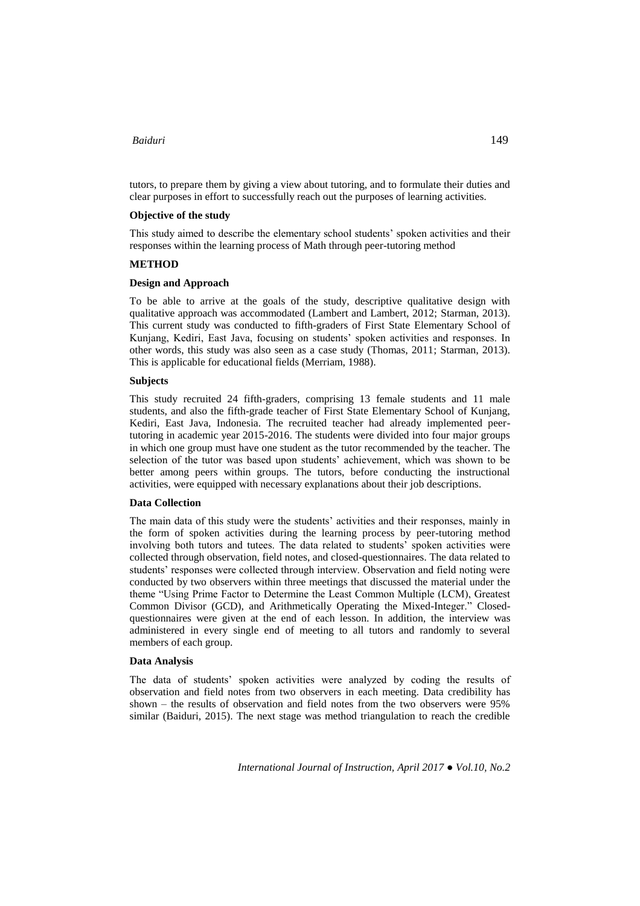tutors, to prepare them by giving a view about tutoring, and to formulate their duties and clear purposes in effort to successfully reach out the purposes of learning activities.

#### **Objective of the study**

This study aimed to describe the elementary school students' spoken activities and their responses within the learning process of Math through peer-tutoring method

#### **METHOD**

### **Design and Approach**

To be able to arrive at the goals of the study, descriptive qualitative design with qualitative approach was accommodated (Lambert and Lambert, 2012; Starman, 2013). This current study was conducted to fifth-graders of First State Elementary School of Kunjang, Kediri, East Java, focusing on students' spoken activities and responses. In other words, this study was also seen as a case study (Thomas, 2011; Starman, 2013). This is applicable for educational fields (Merriam, 1988).

### **Subjects**

This study recruited 24 fifth-graders, comprising 13 female students and 11 male students, and also the fifth-grade teacher of First State Elementary School of Kunjang, Kediri, East Java, Indonesia. The recruited teacher had already implemented peertutoring in academic year 2015-2016. The students were divided into four major groups in which one group must have one student as the tutor recommended by the teacher. The selection of the tutor was based upon students' achievement, which was shown to be better among peers within groups. The tutors, before conducting the instructional activities, were equipped with necessary explanations about their job descriptions.

#### **Data Collection**

The main data of this study were the students' activities and their responses, mainly in the form of spoken activities during the learning process by peer-tutoring method involving both tutors and tutees. The data related to students' spoken activities were collected through observation, field notes, and closed-questionnaires. The data related to students' responses were collected through interview. Observation and field noting were conducted by two observers within three meetings that discussed the material under the theme "Using Prime Factor to Determine the Least Common Multiple (LCM), Greatest Common Divisor (GCD), and Arithmetically Operating the Mixed-Integer." Closedquestionnaires were given at the end of each lesson. In addition, the interview was administered in every single end of meeting to all tutors and randomly to several members of each group.

### **Data Analysis**

The data of students' spoken activities were analyzed by coding the results of observation and field notes from two observers in each meeting. Data credibility has shown – the results of observation and field notes from the two observers were 95% similar (Baiduri, 2015). The next stage was method triangulation to reach the credible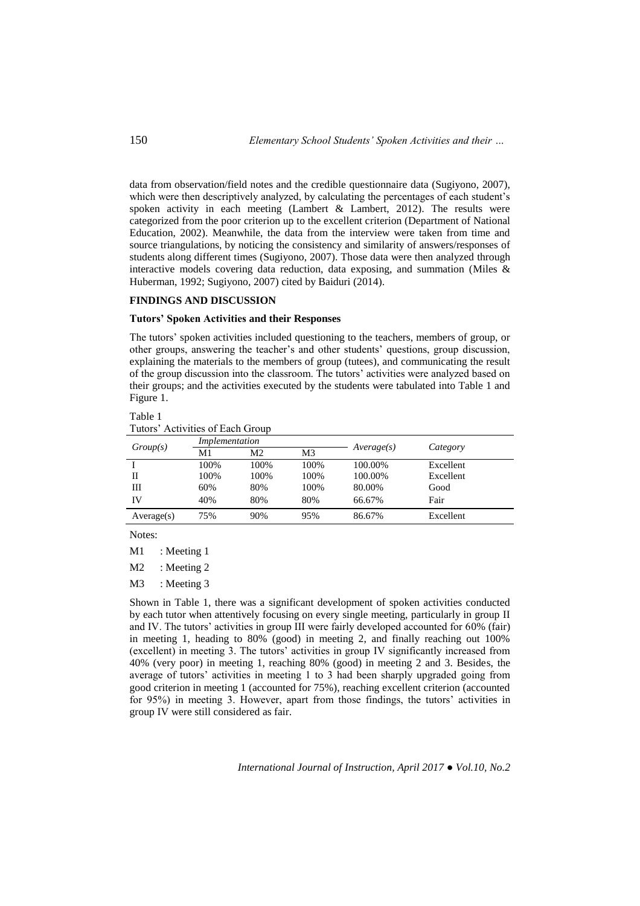data from observation/field notes and the credible questionnaire data (Sugiyono, 2007), which were then descriptively analyzed, by calculating the percentages of each student's spoken activity in each meeting (Lambert & Lambert, 2012). The results were categorized from the poor criterion up to the excellent criterion (Department of National Education, 2002). Meanwhile, the data from the interview were taken from time and source triangulations, by noticing the consistency and similarity of answers/responses of students along different times (Sugiyono, 2007). Those data were then analyzed through interactive models covering data reduction, data exposing, and summation (Miles  $\&$ Huberman, 1992; Sugiyono, 2007) cited by Baiduri (2014).

#### **FINDINGS AND DISCUSSION**

#### **Tutors' Spoken Activities and their Responses**

The tutors' spoken activities included questioning to the teachers, members of group, or other groups, answering the teacher's and other students' questions, group discussion, explaining the materials to the members of group (tutees), and communicating the result of the group discussion into the classroom. The tutors' activities were analyzed based on their groups; and the activities executed by the students were tabulated into Table 1 and Figure 1.

#### Table 1

|          | Tutolo Tieti (Iteli of Buen Group |          |      |          |           |
|----------|-----------------------------------|----------|------|----------|-----------|
| Group(s) | Implementation                    |          |      | Category |           |
|          | M1                                | M3<br>M2 |      |          |           |
|          | 100%                              | 100%     | 100% | 100.00%  | Excellent |
|          | 100%                              | 100%     | 100% | 100.00%  | Excellent |
| Ш        | 60%                               | 80%      | 100% | 80.00%   | Good      |
| IV       | 40%                               | 80%      | 80%  | 66.67%   | Fair      |

Average(s) 75% 90% 95% 86.67% Excellent

Tutors' Activities of Each Group

Notes:

M1 : Meeting 1

M<sub>2</sub> : Meeting 2

M3 : Meeting 3

Shown in Table 1, there was a significant development of spoken activities conducted by each tutor when attentively focusing on every single meeting, particularly in group II and IV. The tutors' activities in group III were fairly developed accounted for 60% (fair) in meeting 1, heading to 80% (good) in meeting 2, and finally reaching out 100% (excellent) in meeting 3. The tutors' activities in group IV significantly increased from 40% (very poor) in meeting 1, reaching 80% (good) in meeting 2 and 3. Besides, the average of tutors' activities in meeting 1 to 3 had been sharply upgraded going from good criterion in meeting 1 (accounted for 75%), reaching excellent criterion (accounted for 95%) in meeting 3. However, apart from those findings, the tutors' activities in group IV were still considered as fair.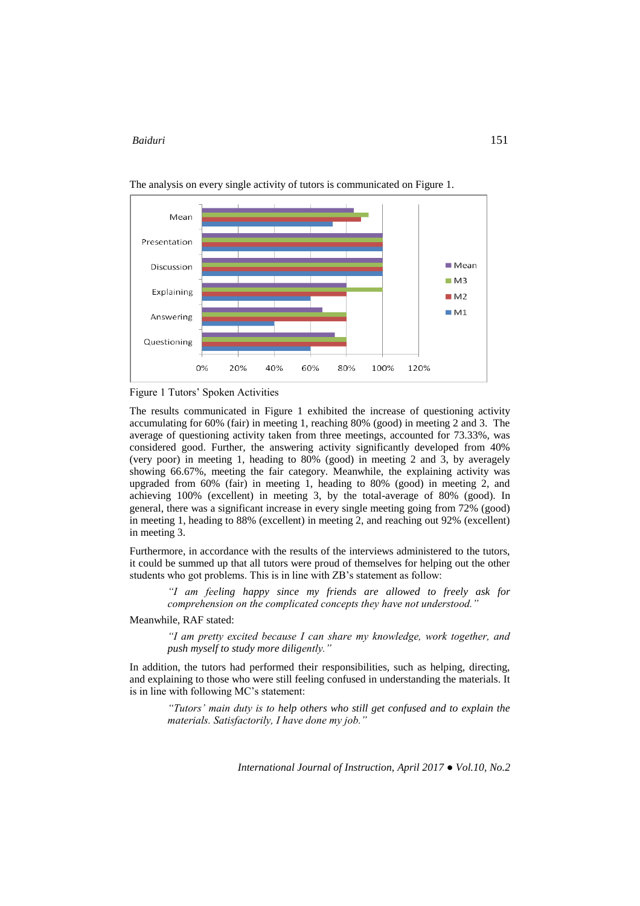

The analysis on every single activity of tutors is communicated on Figure 1.

Figure 1 Tutors' Spoken Activities

The results communicated in Figure 1 exhibited the increase of questioning activity accumulating for 60% (fair) in meeting 1, reaching 80% (good) in meeting 2 and 3. The average of questioning activity taken from three meetings, accounted for 73.33%, was considered good. Further, the answering activity significantly developed from 40% (very poor) in meeting 1, heading to 80% (good) in meeting 2 and 3, by averagely showing 66.67%, meeting the fair category. Meanwhile, the explaining activity was upgraded from 60% (fair) in meeting 1, heading to 80% (good) in meeting 2, and achieving 100% (excellent) in meeting 3, by the total-average of 80% (good). In general, there was a significant increase in every single meeting going from 72% (good) in meeting 1, heading to 88% (excellent) in meeting 2, and reaching out 92% (excellent) in meeting 3.

Furthermore, in accordance with the results of the interviews administered to the tutors, it could be summed up that all tutors were proud of themselves for helping out the other students who got problems. This is in line with ZB's statement as follow:

*"I am feeling happy since my friends are allowed to freely ask for comprehension on the complicated concepts they have not understood."* 

Meanwhile, RAF stated:

*"I am pretty excited because I can share my knowledge, work together, and push myself to study more diligently."*

In addition, the tutors had performed their responsibilities, such as helping, directing, and explaining to those who were still feeling confused in understanding the materials. It is in line with following MC's statement:

*"Tutors' main duty is to help others who still get confused and to explain the materials. Satisfactorily, I have done my job."*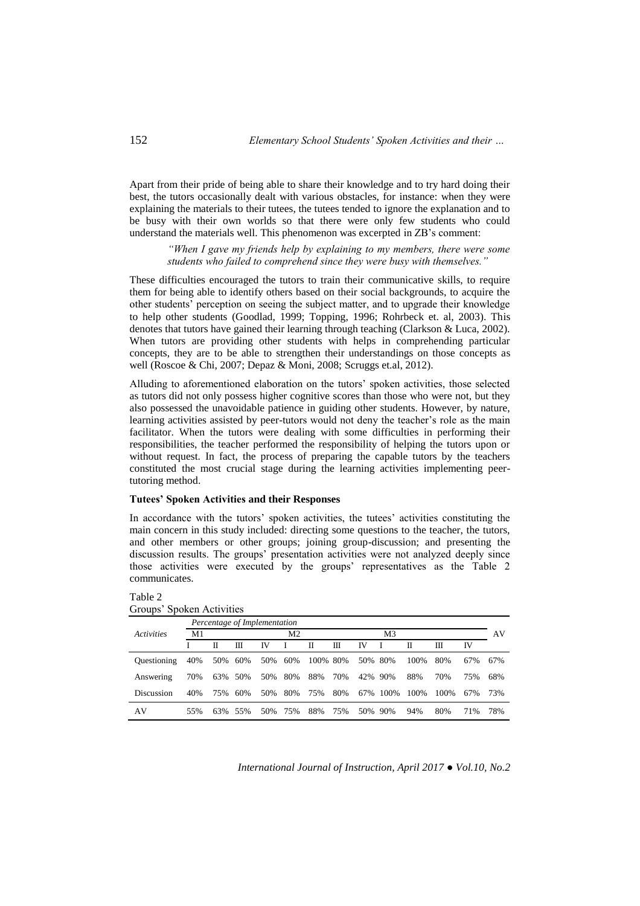Apart from their pride of being able to share their knowledge and to try hard doing their best, the tutors occasionally dealt with various obstacles, for instance: when they were explaining the materials to their tutees, the tutees tended to ignore the explanation and to be busy with their own worlds so that there were only few students who could understand the materials well. This phenomenon was excerpted in ZB's comment:

*"When I gave my friends help by explaining to my members, there were some students who failed to comprehend since they were busy with themselves."* 

These difficulties encouraged the tutors to train their communicative skills, to require them for being able to identify others based on their social backgrounds, to acquire the other students' perception on seeing the subject matter, and to upgrade their knowledge to help other students (Goodlad, 1999; Topping, 1996; Rohrbeck et. al, 2003). This denotes that tutors have gained their learning through teaching (Clarkson & Luca, 2002). When tutors are providing other students with helps in comprehending particular concepts, they are to be able to strengthen their understandings on those concepts as well (Roscoe & Chi, 2007; Depaz & Moni, 2008; Scruggs et.al, 2012).

Alluding to aforementioned elaboration on the tutors' spoken activities, those selected as tutors did not only possess higher cognitive scores than those who were not, but they also possessed the unavoidable patience in guiding other students. However, by nature, learning activities assisted by peer-tutors would not deny the teacher's role as the main facilitator. When the tutors were dealing with some difficulties in performing their responsibilities, the teacher performed the responsibility of helping the tutors upon or without request. In fact, the process of preparing the capable tutors by the teachers constituted the most crucial stage during the learning activities implementing peertutoring method.

## **Tutees' Spoken Activities and their Responses**

In accordance with the tutors' spoken activities, the tutees' activities constituting the main concern in this study included: directing some questions to the teacher, the tutors, and other members or other groups; joining group-discussion; and presenting the discussion results. The groups' presentation activities were not analyzed deeply since those activities were executed by the groups' representatives as the Table 2 communicates.

|                    |     | Percentage of Implementation |     |     |     |                |     |     |          |      |      |     |     |
|--------------------|-----|------------------------------|-----|-----|-----|----------------|-----|-----|----------|------|------|-----|-----|
| <b>Activities</b>  | M1  |                              |     | M2  |     | M <sub>3</sub> |     |     |          |      | AV   |     |     |
|                    |     | П                            | Ш   | IV  |     | П              | Ш   | IV  |          | П    | Ш    | IV  |     |
| <b>Ouestioning</b> | 40% | 50%                          | 60% | 50% | 60% | 100% 80%       |     |     | 50% 80%  | 100% | 80%  | 67% | 67% |
| Answering          | 70% | 63%                          | 50% | 50% | 80% | 88%            | 70% |     | 42% 90%  | 88%  | 70%  | 75% | 68% |
| Discussion         | 40% | 75%                          | 60% | 50% | 80% | 75%            | 80% |     | 67% 100% | 100% | 100% | 67% | 73% |
| AV                 | 55% | 63%                          | 55% | 50% | 75% | 88%            | 75% | 50% | 90%      | 94%  | 80%  | 71% | 78% |

Table 2 Groups' Spoken Activities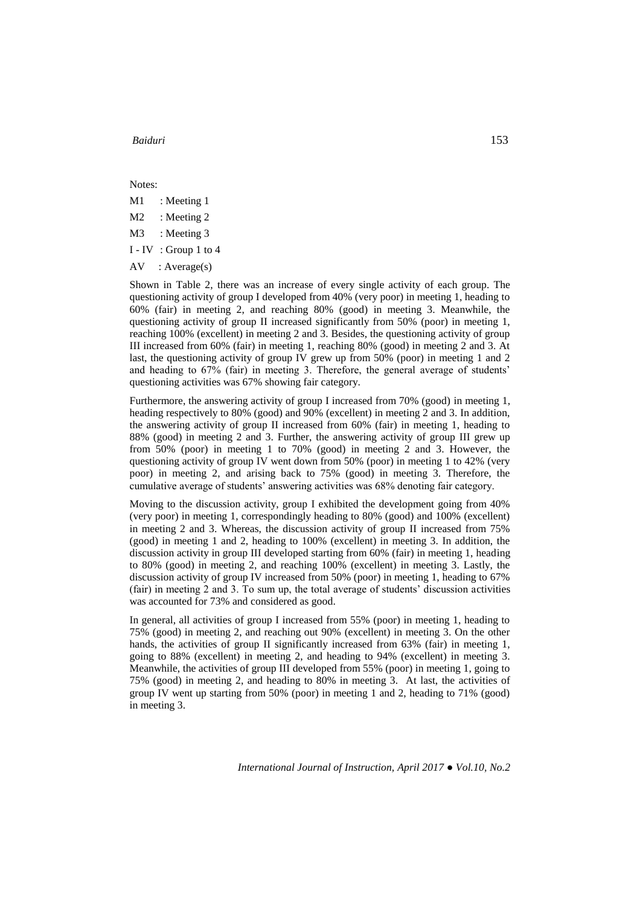Notes:

- M1 : Meeting 1
- M2 : Meeting 2
- M<sub>3</sub> : Meeting 3
- I IV : Group 1 to 4

AV : Average(s)

Shown in Table 2, there was an increase of every single activity of each group. The questioning activity of group I developed from 40% (very poor) in meeting 1, heading to 60% (fair) in meeting 2, and reaching 80% (good) in meeting 3. Meanwhile, the questioning activity of group II increased significantly from 50% (poor) in meeting 1, reaching 100% (excellent) in meeting 2 and 3. Besides, the questioning activity of group III increased from 60% (fair) in meeting 1, reaching 80% (good) in meeting 2 and 3. At last, the questioning activity of group IV grew up from 50% (poor) in meeting 1 and 2 and heading to 67% (fair) in meeting 3. Therefore, the general average of students' questioning activities was 67% showing fair category.

Furthermore, the answering activity of group I increased from 70% (good) in meeting 1, heading respectively to 80% (good) and 90% (excellent) in meeting 2 and 3. In addition, the answering activity of group II increased from 60% (fair) in meeting 1, heading to 88% (good) in meeting 2 and 3. Further, the answering activity of group III grew up from 50% (poor) in meeting 1 to 70% (good) in meeting 2 and 3. However, the questioning activity of group IV went down from 50% (poor) in meeting 1 to 42% (very poor) in meeting 2, and arising back to 75% (good) in meeting 3. Therefore, the cumulative average of students' answering activities was 68% denoting fair category.

Moving to the discussion activity, group I exhibited the development going from 40% (very poor) in meeting 1, correspondingly heading to 80% (good) and 100% (excellent) in meeting 2 and 3. Whereas, the discussion activity of group II increased from 75% (good) in meeting 1 and 2, heading to 100% (excellent) in meeting 3. In addition, the discussion activity in group III developed starting from 60% (fair) in meeting 1, heading to 80% (good) in meeting 2, and reaching 100% (excellent) in meeting 3. Lastly, the discussion activity of group IV increased from 50% (poor) in meeting 1, heading to 67% (fair) in meeting 2 and 3. To sum up, the total average of students' discussion activities was accounted for 73% and considered as good.

In general, all activities of group I increased from 55% (poor) in meeting 1, heading to 75% (good) in meeting 2, and reaching out 90% (excellent) in meeting 3. On the other hands, the activities of group II significantly increased from 63% (fair) in meeting 1, going to 88% (excellent) in meeting 2, and heading to 94% (excellent) in meeting 3. Meanwhile, the activities of group III developed from 55% (poor) in meeting 1, going to 75% (good) in meeting 2, and heading to 80% in meeting 3. At last, the activities of group IV went up starting from 50% (poor) in meeting 1 and 2, heading to 71% (good) in meeting 3.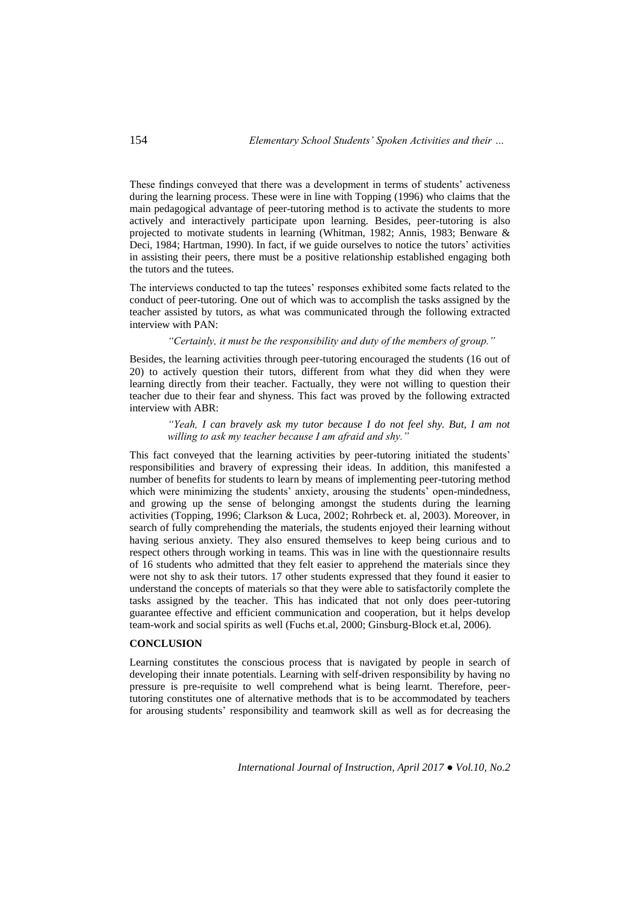These findings conveyed that there was a development in terms of students' activeness during the learning process. These were in line with Topping (1996) who claims that the main pedagogical advantage of peer-tutoring method is to activate the students to more actively and interactively participate upon learning. Besides, peer-tutoring is also projected to motivate students in learning (Whitman, 1982; Annis, 1983; Benware & Deci, 1984; Hartman, 1990). In fact, if we guide ourselves to notice the tutors' activities in assisting their peers, there must be a positive relationship established engaging both the tutors and the tutees.

The interviews conducted to tap the tutees' responses exhibited some facts related to the conduct of peer-tutoring. One out of which was to accomplish the tasks assigned by the teacher assisted by tutors, as what was communicated through the following extracted interview with PAN:

## *"Certainly, it must be the responsibility and duty of the members of group."*

Besides, the learning activities through peer-tutoring encouraged the students (16 out of 20) to actively question their tutors, different from what they did when they were learning directly from their teacher. Factually, they were not willing to question their teacher due to their fear and shyness. This fact was proved by the following extracted interview with ABR:

*"Yeah, I can bravely ask my tutor because I do not feel shy. But, I am not willing to ask my teacher because I am afraid and shy."* 

This fact conveyed that the learning activities by peer-tutoring initiated the students' responsibilities and bravery of expressing their ideas. In addition, this manifested a number of benefits for students to learn by means of implementing peer-tutoring method which were minimizing the students' anxiety, arousing the students' open-mindedness, and growing up the sense of belonging amongst the students during the learning activities (Topping, 1996; Clarkson & Luca, 2002; Rohrbeck et. al, 2003). Moreover, in search of fully comprehending the materials, the students enjoyed their learning without having serious anxiety. They also ensured themselves to keep being curious and to respect others through working in teams. This was in line with the questionnaire results of 16 students who admitted that they felt easier to apprehend the materials since they were not shy to ask their tutors. 17 other students expressed that they found it easier to understand the concepts of materials so that they were able to satisfactorily complete the tasks assigned by the teacher. This has indicated that not only does peer-tutoring guarantee effective and efficient communication and cooperation, but it helps develop team-work and social spirits as well (Fuchs et.al, 2000; Ginsburg-Block et.al, 2006).

### **CONCLUSION**

Learning constitutes the conscious process that is navigated by people in search of developing their innate potentials. Learning with self-driven responsibility by having no pressure is pre-requisite to well comprehend what is being learnt. Therefore, peertutoring constitutes one of alternative methods that is to be accommodated by teachers for arousing students' responsibility and teamwork skill as well as for decreasing the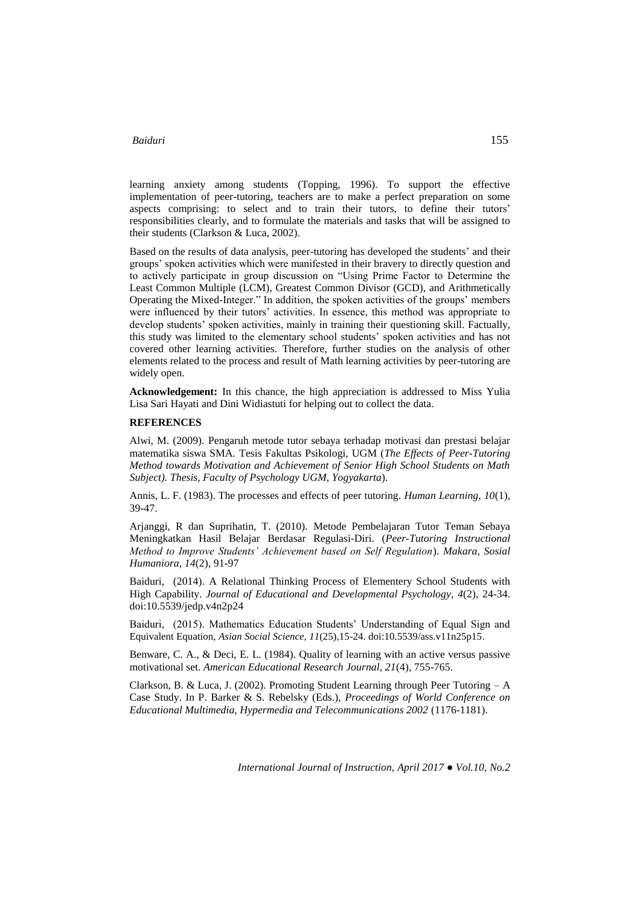learning anxiety among students (Topping, 1996). To support the effective implementation of peer-tutoring, teachers are to make a perfect preparation on some aspects comprising: to select and to train their tutors, to define their tutors' responsibilities clearly, and to formulate the materials and tasks that will be assigned to their students (Clarkson & Luca, 2002).

Based on the results of data analysis, peer-tutoring has developed the students' and their groups' spoken activities which were manifested in their bravery to directly question and to actively participate in group discussion on "Using Prime Factor to Determine the Least Common Multiple (LCM), Greatest Common Divisor (GCD), and Arithmetically Operating the Mixed-Integer." In addition, the spoken activities of the groups' members were influenced by their tutors' activities. In essence, this method was appropriate to develop students' spoken activities, mainly in training their questioning skill. Factually, this study was limited to the elementary school students' spoken activities and has not covered other learning activities. Therefore, further studies on the analysis of other elements related to the process and result of Math learning activities by peer-tutoring are widely open.

**Acknowledgement:** In this chance, the high appreciation is addressed to Miss Yulia Lisa Sari Hayati and Dini Widiastuti for helping out to collect the data.

#### **REFERENCES**

Alwi, M. (2009). Pengaruh metode tutor sebaya terhadap motivasi dan prestasi belajar matematika siswa SMA*.* Tesis Fakultas Psikologi, UGM (*The Effects of Peer-Tutoring Method towards Motivation and Achievement of Senior High School Students on Math Subject). Thesis, Faculty of Psychology UGM, Yogyakarta*).

Annis, L. F. (1983). The processes and effects of peer tutoring. *Human Learning, 10*(1), 39-47.

Arjanggi, R dan Suprihatin, T. (2010). Metode Pembelajaran Tutor Teman Sebaya Meningkatkan Hasil Belajar Berdasar Regulasi-Diri. (*Peer-Tutoring Instructional Method to Improve Students' Achievement based on Self Regulation*). *Makara, Sosial Humaniora, 14*(2)*,* 91-97

Baiduri, (2014). A Relational Thinking Process of Elementery School Students with High Capability. *Journal of Educational and Developmental Psychology, 4*(2), 24-34. doi:10.5539/jedp.v4n2p24

Baiduri, (2015). Mathematics Education Students' Understanding of Equal Sign and Equivalent Equation, *Asian Social Science*, *11*(25),15-24. doi:10.5539/ass.v11n25p15.

Benware, C. A., & Deci, E. L. (1984). Quality of learning with an active versus passive motivational set. *American Educational Research Journal, 21*(4), 755-765.

Clarkson, B. & Luca, J. (2002). Promoting Student Learning through Peer Tutoring  $-A$ Case Study. In P. Barker & S. Rebelsky (Eds.), *Proceedings of World Conference on Educational Multimedia, Hypermedia and Telecommunications 2002* (1176-1181).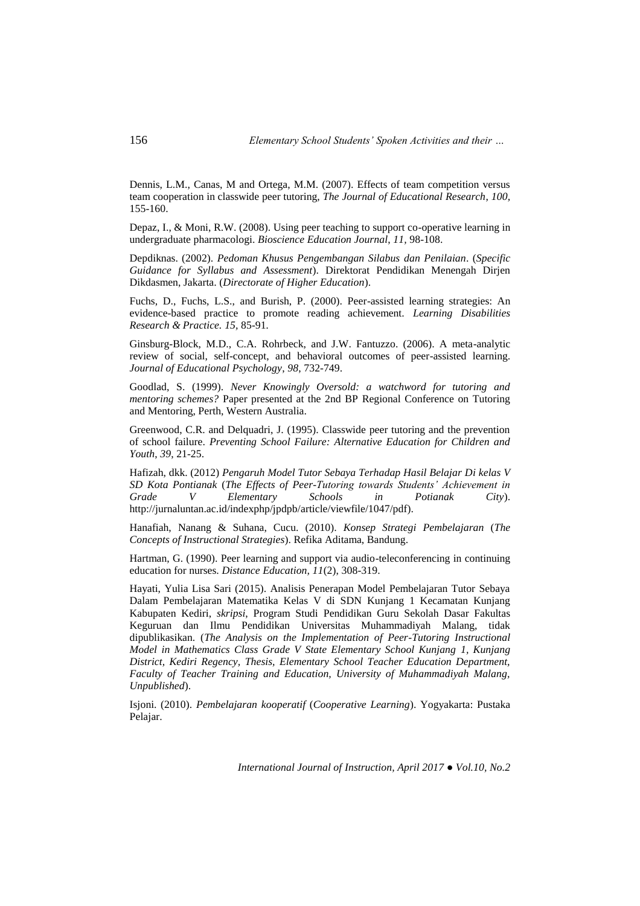Dennis, L.M., Canas, M and Ortega, M.M. (2007). Effects of team competition versus team cooperation in classwide peer tutoring, *The Journal of Educational Research*, *100,*  155-160.

Depaz, I., & Moni, R.W. (2008). Using peer teaching to support co-operative learning in undergraduate pharmacologi. *Bioscience Education Journal*, *11,* 98-108.

Depdiknas. (2002). *Pedoman Khusus Pengembangan Silabus dan Penilaian*. (*Specific Guidance for Syllabus and Assessment*). Direktorat Pendidikan Menengah Dirjen Dikdasmen, Jakarta. (*Directorate of Higher Education*).

Fuchs, D., Fuchs, L.S., and Burish, P. (2000). Peer-assisted learning strategies: An evidence-based practice to promote reading achievement. *Learning Disabilities Research & Practice. 15,* 85-91*.*

Ginsburg-Block, M.D., C.A. Rohrbeck, and J.W. Fantuzzo. (2006). A meta-analytic review of social, self-concept, and behavioral outcomes of peer-assisted learning. *Journal of Educational Psychology*, *98*, 732-749.

Goodlad, S. (1999). *Never Knowingly Oversold: a watchword for tutoring and mentoring schemes?* Paper presented at the 2nd BP Regional Conference on Tutoring and Mentoring, Perth, Western Australia.

Greenwood, C.R. and Delquadri, J. (1995). Classwide peer tutoring and the prevention of school failure. *Preventing School Failure: Alternative Education for Children and Youth*, *39*, 21-25.

Hafizah, dkk. (2012) *Pengaruh Model Tutor Sebaya Terhadap Hasil Belajar Di kelas V SD Kota Pontianak* (*The Effects of Peer-Tutoring towards Students' Achievement in Grade V Elementary Schools in Potianak City*). [http://jurnaluntan.ac.id/indexphp/jpdpb/article/viewfile/1047/pdf\)](http://jurnaluntan.ac.id/indexphp/jpdpb/article/viewfile/1047/pdf).

Hanafiah, Nanang & Suhana, Cucu. (2010). *Konsep Strategi Pembelajaran* (*The Concepts of Instructional Strategies*). Refika Aditama, Bandung.

Hartman, G. (1990). Peer learning and support via audio-teleconferencing in continuing education for nurses. *Distance Education, 11*(2), 308-319.

Hayati, Yulia Lisa Sari (2015). Analisis Penerapan Model Pembelajaran Tutor Sebaya Dalam Pembelajaran Matematika Kelas V di SDN Kunjang 1 Kecamatan Kunjang Kabupaten Kediri, *skripsi*, Program Studi Pendidikan Guru Sekolah Dasar Fakultas Keguruan dan Ilmu Pendidikan Universitas Muhammadiyah Malang, tidak dipublikasikan. (*The Analysis on the Implementation of Peer-Tutoring Instructional Model in Mathematics Class Grade V State Elementary School Kunjang 1, Kunjang District, Kediri Regency, Thesis, Elementary School Teacher Education Department, Faculty of Teacher Training and Education, University of Muhammadiyah Malang, Unpublished*).

Isjoni. (2010). *Pembelajaran kooperatif* (*Cooperative Learning*). Yogyakarta: Pustaka Pelajar.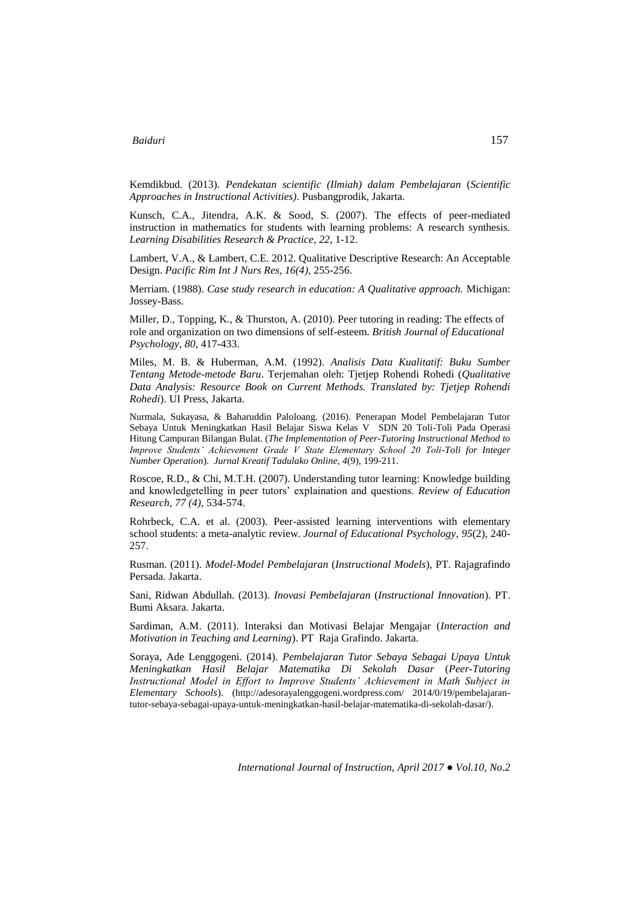Kemdikbud. (2013). *Pendekatan scientific (Ilmiah) dalam Pembelajaran* (*Scientific Approaches in Instructional Activities)*. Pusbangprodik, Jakarta.

Kunsch, C.A., Jitendra, A.K. & Sood, S. (2007). The effects of peer-mediated instruction in mathematics for students with learning problems: A research synthesis*. Learning Disabilities Research & Practice*, *22*, 1-12.

Lambert, V.A., & Lambert, C.E. 2012. Qualitative Descriptive Research: An Acceptable Design. *Pacific Rim Int J Nurs Res, 16(4)*, 255-256.

Merriam. (1988). *Case study research in education: A Qualitative approach.* Michigan: Jossey-Bass.

Miller, D., Topping, K., & Thurston, A. (2010). Peer tutoring in reading: The effects of role and organization on two dimensions of self-esteem. *British Journal of Educational Psychology*, *80*, 417-433.

Miles, M. B. & Huberman, A.M. (1992). *Analisis Data Kualitatif: Buku Sumber Tentang Metode-metode Baru*. Terjemahan oleh: Tjetjep Rohendi Rohedi (*Qualitative Data Analysis: Resource Book on Current Methods. Translated by: Tjetjep Rohendi Rohedi*). UI Press, Jakarta.

Nurmala, Sukayasa, & Baharuddin Paloloang. (2016). Penerapan Model Pembelajaran Tutor Sebaya Untuk Meningkatkan Hasil Belajar Siswa Kelas V SDN 20 Toli-Toli Pada Operasi Hitung Campuran Bilangan Bulat. (*The Implementation of Peer-Tutoring Instructional Method to Improve Students' Achievement Grade V State Elementary School 20 Toli-Toli for Integer Number Operation*). *Jurnal Kreatif Tadulako Online*, *4*(9), 199-211.

Roscoe, R.D., & Chi, M.T.H. (2007). Understanding tutor learning: Knowledge building and knowledgetelling in peer tutors' explaination and questions. *Review of Education Research*, *77 (4)*, 534-574.

Rohrbeck, C.A. et al. (2003). Peer-assisted learning interventions with elementary school students: a meta-analytic review. *Journal of Educational Psychology*, *95*(2), 240- 257.

Rusman. (2011). *Model-Model Pembelajaran* (*Instructional Models*), PT. Rajagrafindo Persada. Jakarta.

Sani, Ridwan Abdullah. (2013). *Inovasi Pembelajaran* (*Instructional Innovation*). PT. Bumi Aksara. Jakarta.

Sardiman, A.M. (2011). Interaksi dan Motivasi Belajar Mengajar (*Interaction and Motivation in Teaching and Learning*). PT Raja Grafindo. Jakarta.

Soraya, Ade Lenggogeni. (2014). *Pembelajaran Tutor Sebaya Sebagai Upaya Untuk Meningkatkan Hasil Belajar Matematika Di Sekolah Dasar* (*Peer-Tutoring Instructional Model in Effort to Improve Students' Achievement in Math Subject in Elementary Schools*). [\(http://adesorayalenggogeni.wordpress.com/ 2014/0/19/pembelajaran](http://adesorayalenggogeni.wordpress.com/%202014/0/19/pembelajaran-tutor-sebaya-sebagai-upaya-untuk-meningkatkan-hasil-belajar-matematika-di-sekolah-dasar/)[tutor-sebaya-sebagai-upaya-untuk-meningkatkan-hasil-belajar-matematika-di-sekolah-dasar/\)](http://adesorayalenggogeni.wordpress.com/%202014/0/19/pembelajaran-tutor-sebaya-sebagai-upaya-untuk-meningkatkan-hasil-belajar-matematika-di-sekolah-dasar/).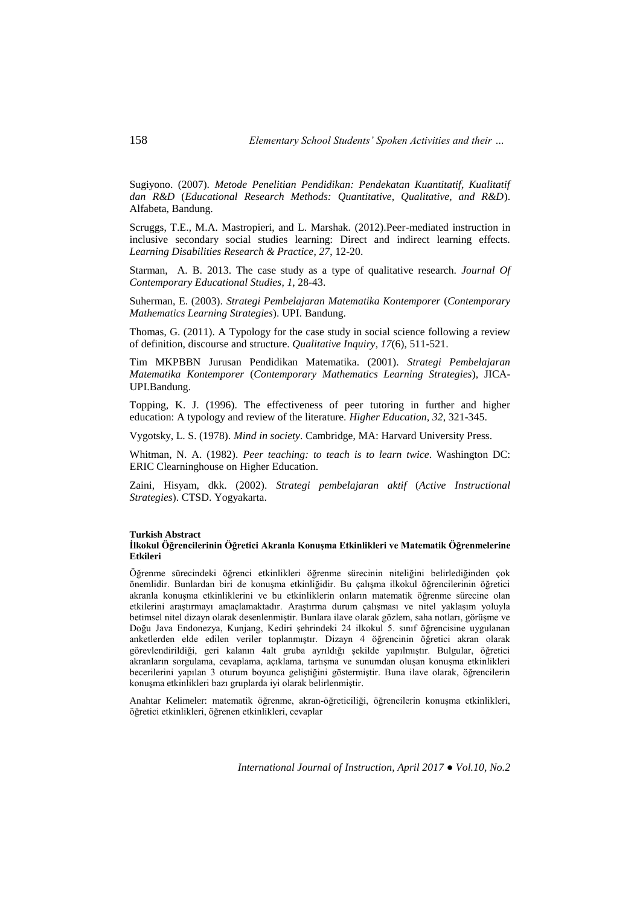Sugiyono. (2007). *Metode Penelitian Pendidikan: Pendekatan Kuantitatif, Kualitatif dan R&D* (*Educational Research Methods: Quantitative, Qualitative, and R&D*). Alfabeta, Bandung.

Scruggs, T.E., M.A. Mastropieri, and L. Marshak. (2012).Peer-mediated instruction in inclusive secondary social studies learning: Direct and indirect learning effects. *Learning Disabilities Research & Practice*, *27*, 12-20.

Starman, A. B. 2013. The case study as a type of qualitative research. *Journal Of Contemporary Educational Studies*, *1*, 28-43.

Suherman, E. (2003). *Strategi Pembelajaran Matematika Kontemporer* (*Contemporary Mathematics Learning Strategies*). UPI. Bandung.

Thomas, G. (2011). A Typology for the case study in social science following a review of definition, discourse and structure. *Qualitative Inquiry*, *17*(6), 511-521.

Tim MKPBBN Jurusan Pendidikan Matematika. (2001). *Strategi Pembelajaran Matematika Kontemporer* (*Contemporary Mathematics Learning Strategies*), JICA-UPI.Bandung.

Topping, K. J. (1996). The effectiveness of peer tutoring in further and higher education: A typology and review of the literature. *Higher Education, 32*, 321-345.

Vygotsky, L. S. (1978). *Mind in society*. Cambridge, MA: Harvard University Press.

Whitman, N. A. (1982). *Peer teaching: to teach is to learn twice*. Washington DC: ERIC Clearninghouse on Higher Education.

Zaini, Hisyam, dkk. (2002). *Strategi pembelajaran aktif* (*Active Instructional Strategies*). CTSD. Yogyakarta.

### **Turkish Abstract**

### **İlkokul Öğrencilerinin Öğretici Akranla Konuşma Etkinlikleri ve Matematik Öğrenmelerine Etkileri**

Öğrenme sürecindeki öğrenci etkinlikleri öğrenme sürecinin niteliğini belirlediğinden çok önemlidir. Bunlardan biri de konuşma etkinliğidir. Bu çalışma ilkokul öğrencilerinin öğretici akranla konuşma etkinliklerini ve bu etkinliklerin onların matematik öğrenme sürecine olan etkilerini araştırmayı amaçlamaktadır. Araştırma durum çalışması ve nitel yaklaşım yoluyla betimsel nitel dizayn olarak desenlenmiştir. Bunlara ilave olarak gözlem, saha notları, görüşme ve Doğu Java Endonezya, Kunjang, Kediri şehrindeki 24 ilkokul 5. sınıf öğrencisine uygulanan anketlerden elde edilen veriler toplanmıştır. Dizayn 4 öğrencinin öğretici akran olarak görevlendirildiği, geri kalanın 4alt gruba ayrıldığı şekilde yapılmıştır. Bulgular, öğretici akranların sorgulama, cevaplama, açıklama, tartışma ve sunumdan oluşan konuşma etkinlikleri becerilerini yapılan 3 oturum boyunca geliştiğini göstermiştir. Buna ilave olarak, öğrencilerin konuşma etkinlikleri bazı gruplarda iyi olarak belirlenmiştir.

Anahtar Kelimeler: matematik öğrenme, akran-öğreticiliği, öğrencilerin konuşma etkinlikleri, öğretici etkinlikleri, öğrenen etkinlikleri, cevaplar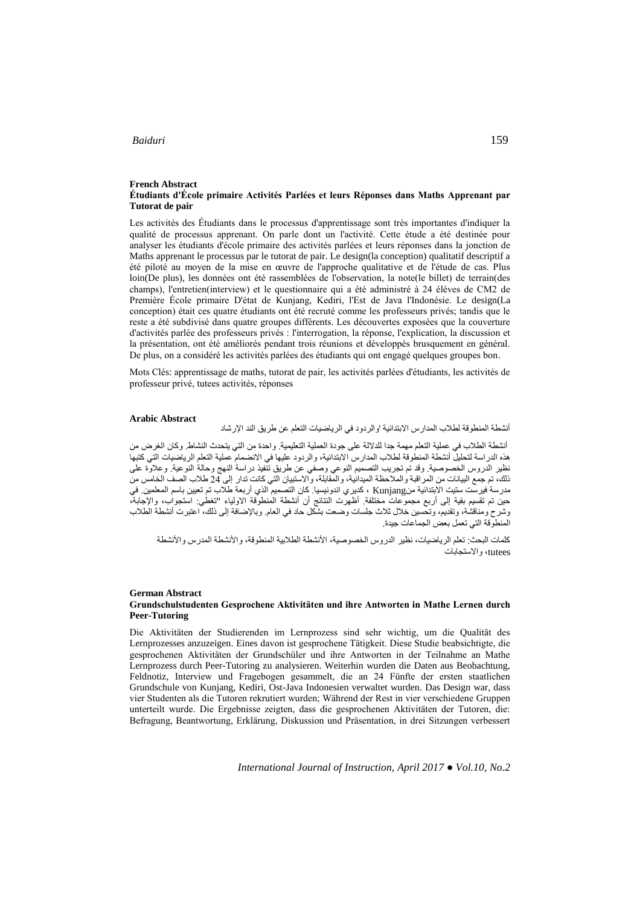#### **French Abstract Étudiants d'École primaire Activités Parlées et leurs Réponses dans Maths Apprenant par Tutorat de pair**

Les activités des Étudiants dans le processus d'apprentissage sont très importantes d'indiquer la qualité de processus apprenant. On parle dont un l'activité. Cette étude a été destinée pour analyser les étudiants d'école primaire des activités parlées et leurs réponses dans la jonction de Maths apprenant le processus par le tutorat de pair. Le design(la conception) qualitatif descriptif a été piloté au moyen de la mise en œuvre de l'approche qualitative et de l'étude de cas. Plus loin(De plus), les données ont été rassemblées de l'observation, la note(le billet) de terrain(des champs), l'entretien(interview) et le questionnaire qui a été administré à 24 élèves de CM2 de Première École primaire D'état de Kunjang, Kediri, l'Est de Java l'Indonésie. Le design(La conception) était ces quatre étudiants ont été recruté comme les professeurs privés; tandis que le reste a été subdivisé dans quatre groupes différents. Les découvertes exposées que la couverture d'activités parlée des professeurs privés : l'interrogation, la réponse, l'explication, la discussion et la présentation, ont été améliorés pendant trois réunions et développés brusquement en général. De plus, on a considéré les activités parlées des étudiants qui ont engagé quelques groupes bon.

Mots Clés: apprentissage de maths, tutorat de pair, les activités parlées d'étudiants, les activités de professeur privé, tutees activités, réponses

#### **Arabic Abstract**

أنشطة المنطوقة لطالب المدارس االبتدائية 'والردود في الرياضيات التعلم عن طريق الند اإلرشاد

أنشطة الطالب في عملية التعلم مهمة جدا للداللة على جودة العملية التعليمية. واحدة من التي يتحدث النشاط. وكان الغرض من هذه الدراسة لتحليل أنشطة المنطوقة لطالب المدارس االبتدائية، والردود عليها في االنضمام عملية التعلم الرياضيات التي كتبها نظير الدروس الخصوصية. وقد تم تجريب التصميم النوعي وصفي عن طريق تنفيذ دراسة النهج وحالة النوعية. وعالوة على ذلك، تم جمع البيانات من المراقبة والمالحظة الميدانية، والمقابلة، واالستبيان التي كانت تدار إلى 42 طالب الصف الخامس من مدرسة فيرست ستيت االبتدائية منKunjang ، كديري اندونيسيا. كان التصميم الذي أربعة طالب تم تعيين باسم المعلمين. في حين تم تقسيم بقية إلى أربع مجموعات مختلفة. أظهرت النتائج أن أنشطة المنطوقة االولياء "تغطي: استجواب، واإلجابة، وشرح ومناقشة، وتقديم، وتحسين خالل ثالث جلسات وضعت بشكل حاد في العام. وباإلضافة إلى ذلك، اعتبرت أنشطة الطالب المنطوقة التي تعمل بعض الجماعات جيدة.

كلمات البحث: تعلم الرياضيات، نظير الدروس الخصوصية، الأنشطة الطلابية المنطوقة، والأنشطة المدرس والأنشطة tutees، واالستجابات

#### **German Abstract**

#### **Grundschulstudenten Gesprochene Aktivitäten und ihre Antworten in Mathe Lernen durch Peer-Tutoring**

Die Aktivitäten der Studierenden im Lernprozess sind sehr wichtig, um die Qualität des Lernprozesses anzuzeigen. Eines davon ist gesprochene Tätigkeit. Diese Studie beabsichtigte, die gesprochenen Aktivitäten der Grundschüler und ihre Antworten in der Teilnahme an Mathe Lernprozess durch Peer-Tutoring zu analysieren. Weiterhin wurden die Daten aus Beobachtung, Feldnotiz, Interview und Fragebogen gesammelt, die an 24 Fünfte der ersten staatlichen Grundschule von Kunjang, Kediri, Ost-Java Indonesien verwaltet wurden. Das Design war, dass vier Studenten als die Tutoren rekrutiert wurden; Während der Rest in vier verschiedene Gruppen unterteilt wurde. Die Ergebnisse zeigten, dass die gesprochenen Aktivitäten der Tutoren, die: Befragung, Beantwortung, Erklärung, Diskussion und Präsentation, in drei Sitzungen verbessert